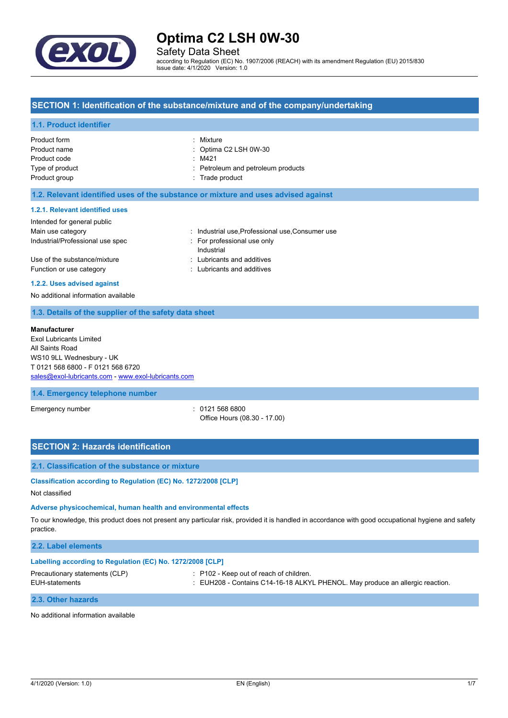

Safety Data Sheet

according to Regulation (EC) No. 1907/2006 (REACH) with its amendment Regulation (EU) 2015/830 Issue date: 4/1/2020 Version: 1.0

## **SECTION 1: Identification of the substance/mixture and of the company/undertaking**

### **1.1. Product identifier**

| Product form    | : Mixture                          |
|-----------------|------------------------------------|
| Product name    | $\therefore$ Optima C2 LSH 0W-30   |
| Product code    | $\therefore$ M421                  |
| Type of product | : Petroleum and petroleum products |
| Product group   | : Trade product                    |
|                 |                                    |

#### **1.2. Relevant identified uses of the substance or mixture and uses advised against**

#### **1.2.1. Relevant identified uses**

| : Industrial use Professional use Consumer use |
|------------------------------------------------|
| : For professional use only<br>Industrial      |
| : Lubricants and additives                     |
| : Lubricants and additives                     |
|                                                |

#### **1.2.2. Uses advised against**

No additional information available

## **1.3. Details of the supplier of the safety data sheet**

#### **Manufacturer**

Exol Lubricants Limited All Saints Road WS10 9LL Wednesbury - UK T 0121 568 6800 - F 0121 568 6720 [sales@exol-lubricants.com](mailto:sales@exol-lubricants.com) - <www.exol-lubricants.com>

## **1.4. Emergency telephone number**

Emergency number : 0121 568 6800

Office Hours (08.30 - 17.00)

## **SECTION 2: Hazards identification**

#### **2.1. Classification of the substance or mixture**

**Classification according to Regulation (EC) No. 1272/2008 [CLP]**

Not classified

#### **Adverse physicochemical, human health and environmental effects**

To our knowledge, this product does not present any particular risk, provided it is handled in accordance with good occupational hygiene and safety practice.

## **2.2. Label elements**

| Labelling according to Regulation (EC) No. 1272/2008 [CLP] |                                                                                                                                     |  |
|------------------------------------------------------------|-------------------------------------------------------------------------------------------------------------------------------------|--|
| Precautionary statements (CLP)<br>EUH-statements           | $\therefore$ P102 - Keep out of reach of children.<br>: EUH208 - Contains C14-16-18 ALKYL PHENOL. May produce an allergic reaction. |  |
| 2.3. Other hazards                                         |                                                                                                                                     |  |

No additional information available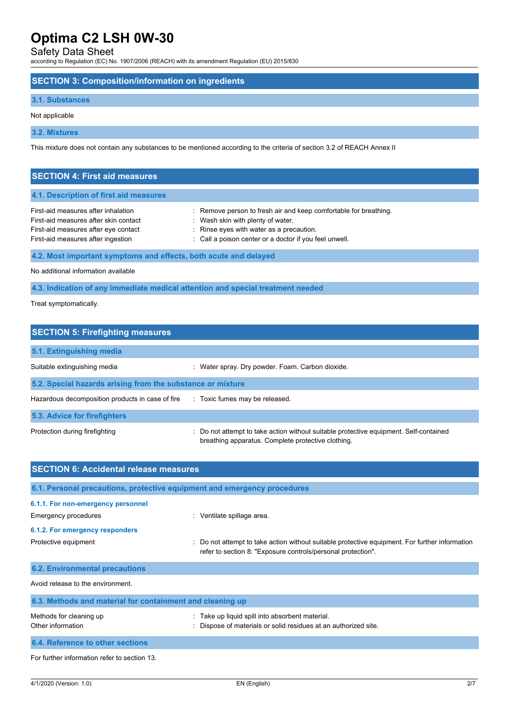## Safety Data Sheet

according to Regulation (EC) No. 1907/2006 (REACH) with its amendment Regulation (EU) 2015/830

### **SECTION 3: Composition/information on ingredients**

### **3.1. Substances**

#### Not applicable

**3.2. Mixtures**

This mixture does not contain any substances to be mentioned according to the criteria of section 3.2 of REACH Annex II

| <b>SECTION 4: First aid measures</b>                                                                                                                       |                                                                                                                                                                                                             |
|------------------------------------------------------------------------------------------------------------------------------------------------------------|-------------------------------------------------------------------------------------------------------------------------------------------------------------------------------------------------------------|
| 4.1. Description of first aid measures                                                                                                                     |                                                                                                                                                                                                             |
| First-aid measures after inhalation<br>First-aid measures after skin contact<br>First-aid measures after eye contact<br>First-aid measures after ingestion | : Remove person to fresh air and keep comfortable for breathing.<br>: Wash skin with plenty of water.<br>: Rinse eyes with water as a precaution.<br>: Call a poison center or a doctor if you feel unwell. |
| 4.2. Most important symptoms and effects, both acute and delayed                                                                                           |                                                                                                                                                                                                             |

No additional information available

**4.3. Indication of any immediate medical attention and special treatment needed**

Treat symptomatically.

| <b>SECTION 5: Firefighting measures</b>                    |                                                                                                                                           |  |
|------------------------------------------------------------|-------------------------------------------------------------------------------------------------------------------------------------------|--|
| 5.1. Extinguishing media                                   |                                                                                                                                           |  |
| Suitable extinguishing media                               | Water spray. Dry powder. Foam. Carbon dioxide.<br>$\mathbb{Z}^{\mathbb{Z}}$                                                               |  |
| 5.2. Special hazards arising from the substance or mixture |                                                                                                                                           |  |
| Hazardous decomposition products in case of fire           | : Toxic fumes may be released.                                                                                                            |  |
| 5.3. Advice for firefighters                               |                                                                                                                                           |  |
| Protection during firefighting                             | Do not attempt to take action without suitable protective equipment. Self-contained<br>breathing apparatus. Complete protective clothing. |  |

| <b>SECTION 6: Accidental release measures</b>                            |                                                                                                                                                                |  |  |
|--------------------------------------------------------------------------|----------------------------------------------------------------------------------------------------------------------------------------------------------------|--|--|
| 6.1. Personal precautions, protective equipment and emergency procedures |                                                                                                                                                                |  |  |
| 6.1.1. For non-emergency personnel<br>Emergency procedures               | : Ventilate spillage area.                                                                                                                                     |  |  |
| 6.1.2. For emergency responders                                          |                                                                                                                                                                |  |  |
| Protective equipment                                                     | : Do not attempt to take action without suitable protective equipment. For further information<br>refer to section 8: "Exposure controls/personal protection". |  |  |
| <b>6.2. Environmental precautions</b>                                    |                                                                                                                                                                |  |  |
| Avoid release to the environment.                                        |                                                                                                                                                                |  |  |
| 6.3. Methods and material for containment and cleaning up                |                                                                                                                                                                |  |  |
| Methods for cleaning up<br>Other information                             | : Take up liquid spill into absorbent material.<br>: Dispose of materials or solid residues at an authorized site.                                             |  |  |
| 6.4. Reference to other sections                                         |                                                                                                                                                                |  |  |
| For further information refer to section 13.                             |                                                                                                                                                                |  |  |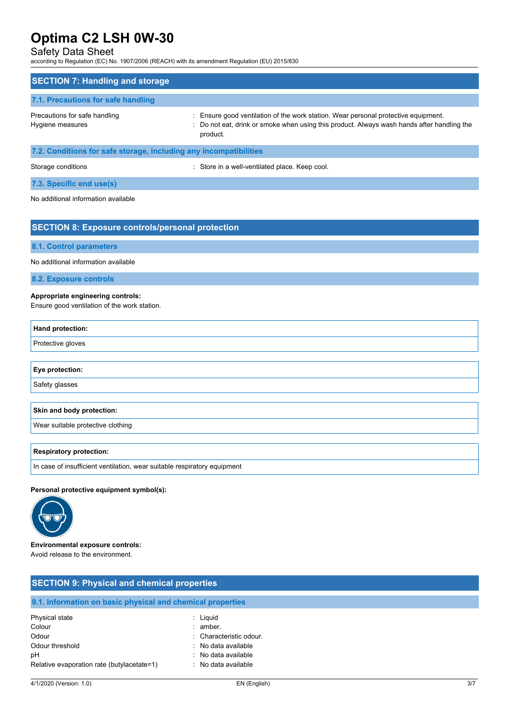## Safety Data Sheet

according to Regulation (EC) No. 1907/2006 (REACH) with its amendment Regulation (EU) 2015/830

| <b>SECTION 7: Handling and storage</b>                            |                                                                                                                                                                                              |
|-------------------------------------------------------------------|----------------------------------------------------------------------------------------------------------------------------------------------------------------------------------------------|
| 7.1. Precautions for safe handling                                |                                                                                                                                                                                              |
| Precautions for safe handling<br>Hygiene measures                 | : Ensure good ventilation of the work station. Wear personal protective equipment.<br>: Do not eat, drink or smoke when using this product. Always wash hands after handling the<br>product. |
| 7.2. Conditions for safe storage, including any incompatibilities |                                                                                                                                                                                              |

Storage conditions **Storage conditions** : Store in a well-ventilated place. Keep cool.

**7.3. Specific end use(s)**

No additional information available

## **SECTION 8: Exposure controls/personal protection**

**8.1. Control parameters**

No additional information available

**8.2. Exposure controls**

### **Appropriate engineering controls:**

Ensure good ventilation of the work station.

| Hand protection:                  |
|-----------------------------------|
| Protective gloves                 |
|                                   |
| Eye protection:                   |
| Safety glasses                    |
|                                   |
| Skin and body protection:         |
| Wear suitable protective clothing |
|                                   |
| <b>Respiratory protection:</b>    |

In case of insufficient ventilation, wear suitable respiratory equipment

#### **Personal protective equipment symbol(s):**



**Environmental exposure controls:**

Avoid release to the environment.

| <b>SECTION 9: Physical and chemical properties</b>         |                         |  |
|------------------------------------------------------------|-------------------------|--|
| 9.1. Information on basic physical and chemical properties |                         |  |
| Physical state                                             | : Liguid                |  |
| Colour                                                     | $:$ amber.              |  |
| Odour                                                      | : Characteristic odour. |  |
| Odour threshold                                            | : No data available     |  |
| рH                                                         | : No data available     |  |
| Relative evaporation rate (butylacetate=1)                 | : No data available     |  |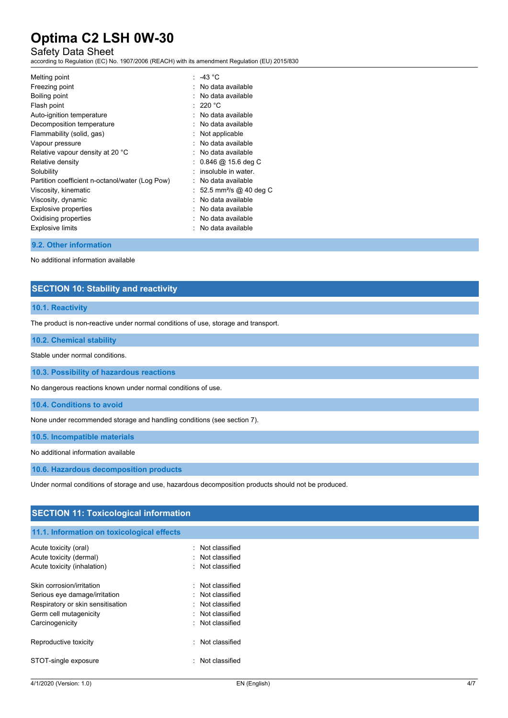## Safety Data Sheet

according to Regulation (EC) No. 1907/2006 (REACH) with its amendment Regulation (EU) 2015/830

| Melting point                                   | : -43 $^{\circ}$ C                   |
|-------------------------------------------------|--------------------------------------|
| Freezing point                                  | No data available                    |
| Boiling point                                   | $:$ No data available                |
| Flash point                                     | $:220\text{ }^{\circ}\text{C}$       |
| Auto-ignition temperature                       | $:$ No data available                |
| Decomposition temperature                       | No data available                    |
| Flammability (solid, gas)                       | Not applicable                       |
| Vapour pressure                                 | . No data available                  |
| Relative vapour density at 20 °C                | No data available                    |
| Relative density                                | $: 0.846 \ @ \ 15.6 \text{ deg } C$  |
| Solubility                                      | insoluble in water.                  |
| Partition coefficient n-octanol/water (Log Pow) | $:$ No data available                |
| Viscosity, kinematic                            | : 52.5 mm <sup>2</sup> /s @ 40 deg C |
| Viscosity, dynamic                              | : No data available                  |
| Explosive properties                            | No data available                    |
| Oxidising properties                            | No data available                    |
| <b>Explosive limits</b>                         | $:$ No data available                |
|                                                 |                                      |

#### **9.2. Other information**

No additional information available

## **SECTION 10: Stability and reactivity**

#### **10.1. Reactivity**

The product is non-reactive under normal conditions of use, storage and transport.

#### **10.2. Chemical stability**

Stable under normal conditions.

**10.3. Possibility of hazardous reactions**

No dangerous reactions known under normal conditions of use.

**10.4. Conditions to avoid**

None under recommended storage and handling conditions (see section 7).

**10.5. Incompatible materials**

No additional information available

**10.6. Hazardous decomposition products**

Under normal conditions of storage and use, hazardous decomposition products should not be produced.

## **SECTION 11: Toxicological information**

## **11.1. Information on toxicological effects**

| Acute toxicity (oral)             | Not classified |
|-----------------------------------|----------------|
| Acute toxicity (dermal)           | Not classified |
| Acute toxicity (inhalation)       | Not classified |
| Skin corrosion/irritation         | Not classified |
| Serious eye damage/irritation     | Not classified |
| Respiratory or skin sensitisation | Not classified |
| Germ cell mutagenicity            | Not classified |
| Carcinogenicity                   | Not classified |
| Reproductive toxicity             | Not classified |
| STOT-single exposure              | Not classified |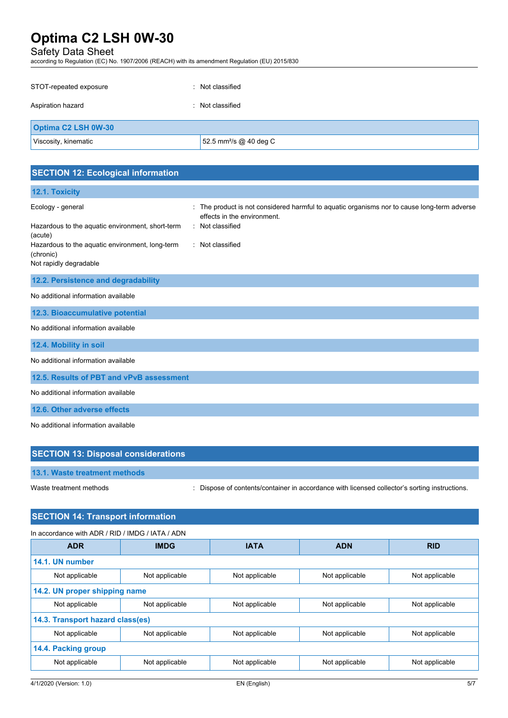## Safety Data Sheet

according to Regulation (EC) No. 1907/2006 (REACH) with its amendment Regulation (EU) 2015/830

| STOT-repeated exposure<br>т. | Not classified                     |  |
|------------------------------|------------------------------------|--|
| Aspiration hazard            | : Not classified                   |  |
| <b>Optima C2 LSH 0W-30</b>   |                                    |  |
| Viscosity, kinematic         | 52.5 mm <sup>2</sup> /s @ 40 deg C |  |

| <b>SECTION 12: Ecological information</b>                                                                                                                                  |                                                                                                                                                                  |
|----------------------------------------------------------------------------------------------------------------------------------------------------------------------------|------------------------------------------------------------------------------------------------------------------------------------------------------------------|
| 12.1. Toxicity                                                                                                                                                             |                                                                                                                                                                  |
| Ecology - general<br>Hazardous to the aquatic environment, short-term<br>(acute)<br>Hazardous to the aquatic environment, long-term<br>(chronic)<br>Not rapidly degradable | The product is not considered harmful to aquatic organisms nor to cause long-term adverse<br>effects in the environment.<br>: Not classified<br>: Not classified |
| 12.2. Persistence and degradability                                                                                                                                        |                                                                                                                                                                  |
| No additional information available                                                                                                                                        |                                                                                                                                                                  |
| 12.3. Bioaccumulative potential                                                                                                                                            |                                                                                                                                                                  |
| No additional information available                                                                                                                                        |                                                                                                                                                                  |
| 12.4. Mobility in soil                                                                                                                                                     |                                                                                                                                                                  |
| No additional information available                                                                                                                                        |                                                                                                                                                                  |
| 12.5. Results of PBT and vPvB assessment                                                                                                                                   |                                                                                                                                                                  |
| No additional information available                                                                                                                                        |                                                                                                                                                                  |
| 12.6. Other adverse effects                                                                                                                                                |                                                                                                                                                                  |
| No additional information available                                                                                                                                        |                                                                                                                                                                  |
| <b>SECTION 13: Disposal considerations</b>                                                                                                                                 |                                                                                                                                                                  |

Waste treatment methods : Dispose of contents/container in accordance with licensed collector's sorting instructions.

## **SECTION 14: Transport information**

| In accordance with ADR / RID / IMDG / IATA / ADN |                |                |                |                |
|--------------------------------------------------|----------------|----------------|----------------|----------------|
| <b>ADR</b>                                       | <b>IMDG</b>    | <b>IATA</b>    | <b>ADN</b>     | <b>RID</b>     |
| 14.1. UN number                                  |                |                |                |                |
| Not applicable                                   | Not applicable | Not applicable | Not applicable | Not applicable |
| 14.2. UN proper shipping name                    |                |                |                |                |
| Not applicable                                   | Not applicable | Not applicable | Not applicable | Not applicable |
| 14.3. Transport hazard class(es)                 |                |                |                |                |
| Not applicable                                   | Not applicable | Not applicable | Not applicable | Not applicable |
| 14.4. Packing group                              |                |                |                |                |
| Not applicable                                   | Not applicable | Not applicable | Not applicable | Not applicable |
|                                                  |                |                |                |                |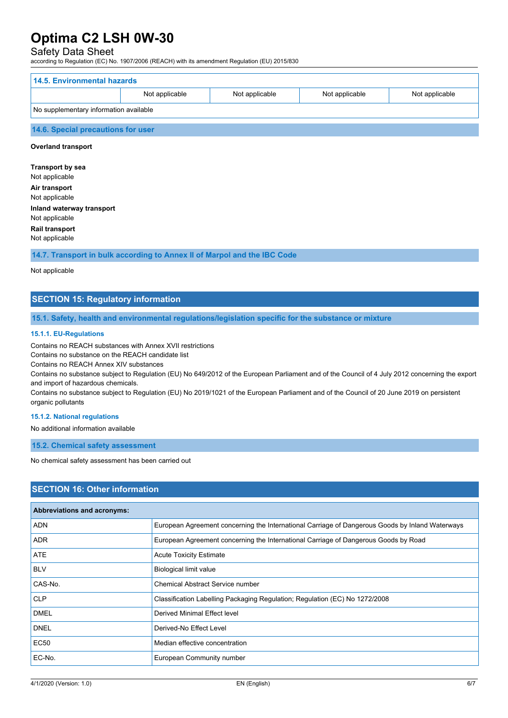## Safety Data Sheet

according to Regulation (EC) No. 1907/2006 (REACH) with its amendment Regulation (EU) 2015/830

| 14.5. Environmental hazards            |                |                |                |                |
|----------------------------------------|----------------|----------------|----------------|----------------|
|                                        | Not applicable | Not applicable | Not applicable | Not applicable |
| No supplementary information available |                |                |                |                |
| 14.6. Special precautions for user     |                |                |                |                |

## **Overland transport**

**Transport by sea** Not applicable **Air transport** Not applicable **Inland waterway transport** Not applicable **Rail transport**

Not applicable

**14.7. Transport in bulk according to Annex II of Marpol and the IBC Code**

#### Not applicable

## **SECTION 15: Regulatory information**

#### **15.1. Safety, health and environmental regulations/legislation specific for the substance or mixture**

#### **15.1.1. EU-Regulations**

Contains no REACH substances with Annex XVII restrictions

Contains no substance on the REACH candidate list

Contains no REACH Annex XIV substances

Contains no substance subject to Regulation (EU) No 649/2012 of the European Parliament and of the Council of 4 July 2012 concerning the export and import of hazardous chemicals.

Contains no substance subject to Regulation (EU) No 2019/1021 of the European Parliament and of the Council of 20 June 2019 on persistent organic pollutants

#### **15.1.2. National regulations**

No additional information available

**15.2. Chemical safety assessment**

No chemical safety assessment has been carried out

## **SECTION 16: Other information**

| <b>Abbreviations and acronyms:</b> |                                                                                                 |
|------------------------------------|-------------------------------------------------------------------------------------------------|
| <b>ADN</b>                         | European Agreement concerning the International Carriage of Dangerous Goods by Inland Waterways |
| ADR.                               | European Agreement concerning the International Carriage of Dangerous Goods by Road             |
| ATE                                | <b>Acute Toxicity Estimate</b>                                                                  |
| <b>BLV</b>                         | Biological limit value                                                                          |
| CAS-No.                            | <b>Chemical Abstract Service number</b>                                                         |
| <b>CLP</b>                         | Classification Labelling Packaging Regulation; Regulation (EC) No 1272/2008                     |
| <b>DMEL</b>                        | Derived Minimal Effect level                                                                    |
| <b>DNEL</b>                        | Derived-No Effect Level                                                                         |
| EC50                               | Median effective concentration                                                                  |
| EC-No.                             | European Community number                                                                       |